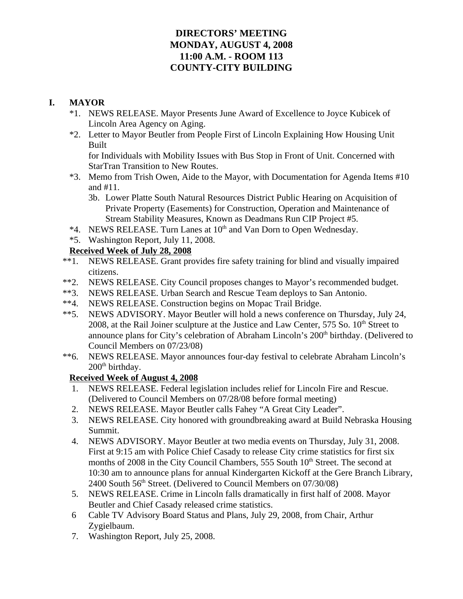# **DIRECTORS' MEETING MONDAY, AUGUST 4, 2008 11:00 A.M. - ROOM 113 COUNTY-CITY BUILDING**

# **I. MAYOR**

- \*1. NEWS RELEASE. Mayor Presents June Award of Excellence to Joyce Kubicek of Lincoln Area Agency on Aging.
- \*2. Letter to Mayor Beutler from People First of Lincoln Explaining How Housing Unit Built

for Individuals with Mobility Issues with Bus Stop in Front of Unit. Concerned with StarTran Transition to New Routes.

- \*3. Memo from Trish Owen, Aide to the Mayor, with Documentation for Agenda Items #10 and #11.
	- 3b. Lower Platte South Natural Resources District Public Hearing on Acquisition of Private Property (Easements) for Construction, Operation and Maintenance of Stream Stability Measures, Known as Deadmans Run CIP Project #5.
- \*4. NEWS RELEASE. Turn Lanes at 10<sup>th</sup> and Van Dorn to Open Wednesday.
- \*5. Washington Report, July 11, 2008.

## **Received Week of July 28, 2008**

- \*\*1. NEWS RELEASE. Grant provides fire safety training for blind and visually impaired citizens.
- \*\*2. NEWS RELEASE. City Council proposes changes to Mayor's recommended budget.
- \*\*3. NEWS RELEASE. Urban Search and Rescue Team deploys to San Antonio.
- \*\*4. NEWS RELEASE. Construction begins on Mopac Trail Bridge.
- \*\*5. NEWS ADVISORY. Mayor Beutler will hold a news conference on Thursday, July 24, 2008, at the Rail Joiner sculpture at the Justice and Law Center,  $575$  So.  $10<sup>th</sup>$  Street to announce plans for City's celebration of Abraham Lincoln's 200<sup>th</sup> birthday. (Delivered to Council Members on 07/23/08)
- \*\*6. NEWS RELEASE. Mayor announces four-day festival to celebrate Abraham Lincoln's 200<sup>th</sup> birthday.

# **Received Week of August 4, 2008**

- 1. NEWS RELEASE. Federal legislation includes relief for Lincoln Fire and Rescue. (Delivered to Council Members on 07/28/08 before formal meeting)
- 2. NEWS RELEASE. Mayor Beutler calls Fahey "A Great City Leader".
- 3. NEWS RELEASE. City honored with groundbreaking award at Build Nebraska Housing Summit.
- 4. NEWS ADVISORY. Mayor Beutler at two media events on Thursday, July 31, 2008. First at 9:15 am with Police Chief Casady to release City crime statistics for first six months of 2008 in the City Council Chambers, 555 South  $10<sup>th</sup>$  Street. The second at 10:30 am to announce plans for annual Kindergarten Kickoff at the Gere Branch Library, 2400 South 56<sup>th</sup> Street. (Delivered to Council Members on 07/30/08)
- 5. NEWS RELEASE. Crime in Lincoln falls dramatically in first half of 2008. Mayor Beutler and Chief Casady released crime statistics.
- 6 Cable TV Advisory Board Status and Plans, July 29, 2008, from Chair, Arthur Zygielbaum.
- 7. Washington Report, July 25, 2008.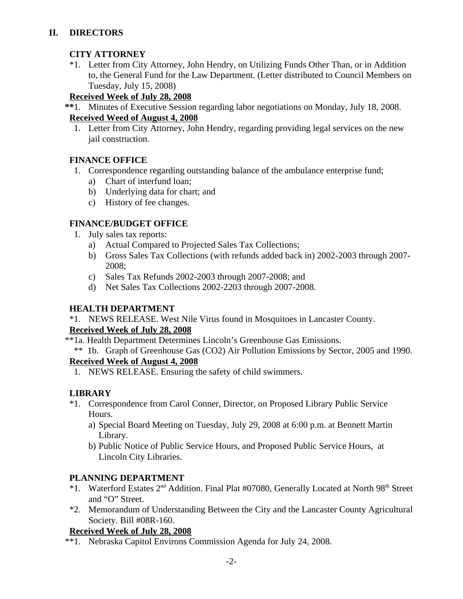# **II. DIRECTORS**

# **CITY ATTORNEY**

\*1. Letter from City Attorney, John Hendry, on Utilizing Funds Other Than, or in Addition to, the General Fund for the Law Department. (Letter distributed to Council Members on Tuesday, July 15, 2008)

### **Received Week of July 28, 2008**

 **\*\***1. Minutes of Executive Session regarding labor negotiations on Monday, July 18, 2008.

# **Received Weed of August 4, 2008**

 1. Letter from City Attorney, John Hendry, regarding providing legal services on the new jail construction.

## **FINANCE OFFICE**

- 1. Correspondence regarding outstanding balance of the ambulance enterprise fund;
	- a) Chart of interfund loan;
	- b) Underlying data for chart; and
	- c) History of fee changes.

## **FINANCE/BUDGET OFFICE**

- 1. July sales tax reports:
	- a) Actual Compared to Projected Sales Tax Collections;
	- b) Gross Sales Tax Collections (with refunds added back in) 2002-2003 through 2007- 2008;
	- c) Sales Tax Refunds 2002-2003 through 2007-2008; and
	- d) Net Sales Tax Collections 2002-2203 through 2007-2008.

# **HEALTH DEPARTMENT**

\*1. NEWS RELEASE. West Nile Virus found in Mosquitoes in Lancaster County.

# **Received Week of July 28, 2008**

- \*\*1a. Health Department Determines Lincoln's Greenhouse Gas Emissions.
	- \*\* 1b. Graph of Greenhouse Gas (CO2) Air Pollution Emissions by Sector, 2005 and 1990.

# **Received Week of August 4, 2008**

1. NEWS RELEASE. Ensuring the safety of child swimmers.

# **LIBRARY**

- \*1. Correspondence from Carol Conner, Director, on Proposed Library Public Service Hours.
	- a) Special Board Meeting on Tuesday, July 29, 2008 at 6:00 p.m. at Bennett Martin Library.
	- b) Public Notice of Public Service Hours, and Proposed Public Service Hours, at Lincoln City Libraries.

# **PLANNING DEPARTMENT**

- \*1. Waterford Estates 2<sup>nd</sup> Addition. Final Plat #07080, Generally Located at North 98<sup>th</sup> Street and "O" Street.
- \*2. Memorandum of Understanding Between the City and the Lancaster County Agricultural Society. Bill #08R-160.

# **Received Week of July 28, 2008**

\*\*1. Nebraska Capitol Environs Commission Agenda for July 24, 2008.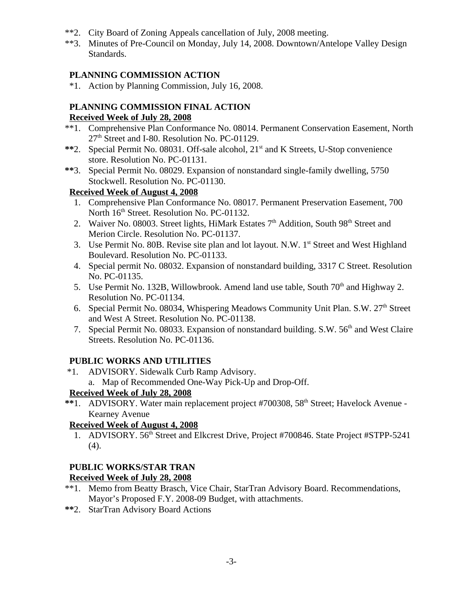- \*\*2. City Board of Zoning Appeals cancellation of July, 2008 meeting.
- \*\*3. Minutes of Pre-Council on Monday, July 14, 2008. Downtown/Antelope Valley Design Standards.

## **PLANNING COMMISSION ACTION**

\*1. Action by Planning Commission, July 16, 2008.

# **PLANNING COMMISSION FINAL ACTION**

## **Received Week of July 28, 2008**

- \*\*1. Comprehensive Plan Conformance No. 08014. Permanent Conservation Easement, North 27<sup>th</sup> Street and I-80. Resolution No. PC-01129.
- \*\*2. Special Permit No. 08031. Off-sale alcohol, 21<sup>st</sup> and K Streets, U-Stop convenience store. Resolution No. PC-01131.
- **\*\***3. Special Permit No. 08029. Expansion of nonstandard single-family dwelling, 5750 Stockwell. Resolution No. PC-01130.

# **Received Week of August 4, 2008**

- 1. Comprehensive Plan Conformance No. 08017. Permanent Preservation Easement, 700 North  $16<sup>th</sup>$  Street. Resolution No. PC-01132.
- 2. Waiver No. 08003. Street lights, HiMark Estates  $7<sup>th</sup>$  Addition, South 98<sup>th</sup> Street and Merion Circle. Resolution No. PC-01137.
- 3. Use Permit No. 80B. Revise site plan and lot layout. N.W. 1<sup>st</sup> Street and West Highland Boulevard. Resolution No. PC-01133.
- 4. Special permit No. 08032. Expansion of nonstandard building, 3317 C Street. Resolution No. PC-01135.
- 5. Use Permit No. 132B, Willowbrook. Amend land use table, South  $70<sup>th</sup>$  and Highway 2. Resolution No. PC-01134.
- 6. Special Permit No. 08034, Whispering Meadows Community Unit Plan. S.W. 27<sup>th</sup> Street and West A Street. Resolution No. PC-01138.
- 7. Special Permit No. 08033. Expansion of nonstandard building, S.W. 56<sup>th</sup> and West Claire Streets. Resolution No. PC-01136.

# **PUBLIC WORKS AND UTILITIES**

- \*1. ADVISORY. Sidewalk Curb Ramp Advisory.
	- a. Map of Recommended One-Way Pick-Up and Drop-Off.

# **Received Week of July 28, 2008**

\*\*1. ADVISORY. Water main replacement project #700308, 58<sup>th</sup> Street; Havelock Avenue -Kearney Avenue

## **Received Week of August 4, 2008**

1. ADVISORY. 56<sup>th</sup> Street and Elkcrest Drive, Project #700846. State Project #STPP-5241 (4).

## **PUBLIC WORKS/STAR TRAN**

# **Received Week of July 28, 2008**

- \*\*1. Memo from Beatty Brasch, Vice Chair, StarTran Advisory Board. Recommendations, Mayor's Proposed F.Y. 2008-09 Budget, with attachments.
- **\*\***2. StarTran Advisory Board Actions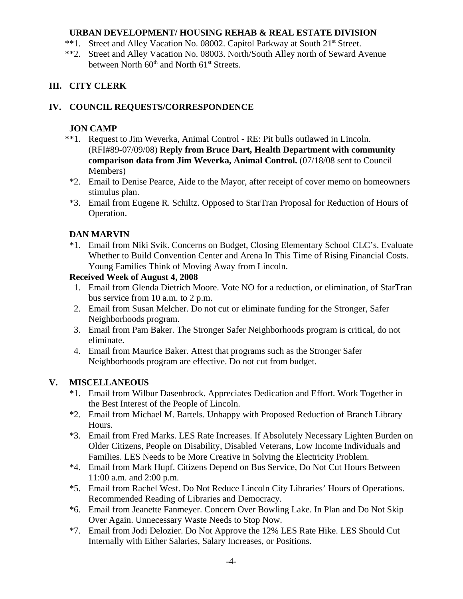## **URBAN DEVELOPMENT/ HOUSING REHAB & REAL ESTATE DIVISION**

- \*\*1. Street and Alley Vacation No. 08002. Capitol Parkway at South 21<sup>st</sup> Street.
- \*\*2. Street and Alley Vacation No. 08003. North/South Alley north of Seward Avenue between North  $60<sup>th</sup>$  and North  $61<sup>st</sup>$  Streets.

# **III. CITY CLERK**

# **IV. COUNCIL REQUESTS/CORRESPONDENCE**

## **JON CAMP**

- \*\*1. Request to Jim Weverka, Animal Control RE: Pit bulls outlawed in Lincoln. (RFI#89-07/09/08) **Reply from Bruce Dart, Health Department with community comparison data from Jim Weverka, Animal Control.** (07/18/08 sent to Council Members)
- \*2. Email to Denise Pearce, Aide to the Mayor, after receipt of cover memo on homeowners stimulus plan.
- \*3. Email from Eugene R. Schiltz. Opposed to StarTran Proposal for Reduction of Hours of Operation.

# **DAN MARVIN**

\*1. Email from Niki Svik. Concerns on Budget, Closing Elementary School CLC's. Evaluate Whether to Build Convention Center and Arena In This Time of Rising Financial Costs. Young Families Think of Moving Away from Lincoln.

# **Received Week of August 4, 2008**

- 1. Email from Glenda Dietrich Moore. Vote NO for a reduction, or elimination, of StarTran bus service from 10 a.m. to 2 p.m.
- 2. Email from Susan Melcher. Do not cut or eliminate funding for the Stronger, Safer Neighborhoods program.
- 3. Email from Pam Baker. The Stronger Safer Neighborhoods program is critical, do not eliminate.
- 4. Email from Maurice Baker. Attest that programs such as the Stronger Safer Neighborhoods program are effective. Do not cut from budget.

# **V. MISCELLANEOUS**

- \*1. Email from Wilbur Dasenbrock. Appreciates Dedication and Effort. Work Together in the Best Interest of the People of Lincoln.
- \*2. Email from Michael M. Bartels. Unhappy with Proposed Reduction of Branch Library Hours.
- \*3. Email from Fred Marks. LES Rate Increases. If Absolutely Necessary Lighten Burden on Older Citizens, People on Disability, Disabled Veterans, Low Income Individuals and Families. LES Needs to be More Creative in Solving the Electricity Problem.
- \*4. Email from Mark Hupf. Citizens Depend on Bus Service, Do Not Cut Hours Between 11:00 a.m. and 2:00 p.m.
- \*5. Email from Rachel West. Do Not Reduce Lincoln City Libraries' Hours of Operations. Recommended Reading of Libraries and Democracy.
- \*6. Email from Jeanette Fanmeyer. Concern Over Bowling Lake. In Plan and Do Not Skip Over Again. Unnecessary Waste Needs to Stop Now.
- \*7. Email from Jodi Delozier. Do Not Approve the 12% LES Rate Hike. LES Should Cut Internally with Either Salaries, Salary Increases, or Positions.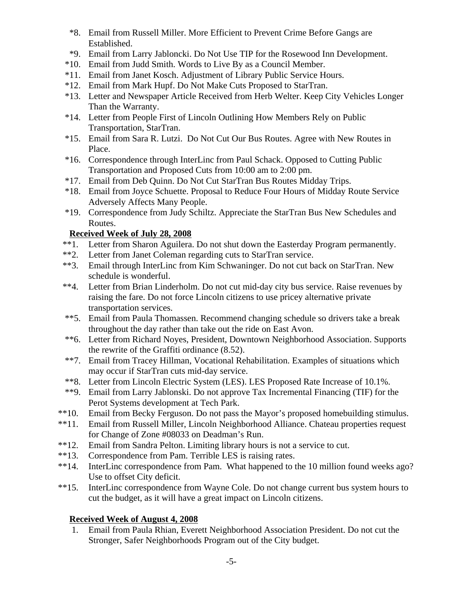- \*8. Email from Russell Miller. More Efficient to Prevent Crime Before Gangs are Established.
- \*9. Email from Larry Jabloncki. Do Not Use TIP for the Rosewood Inn Development.
- \*10. Email from Judd Smith. Words to Live By as a Council Member.
- \*11. Email from Janet Kosch. Adjustment of Library Public Service Hours.
- \*12. Email from Mark Hupf. Do Not Make Cuts Proposed to StarTran.
- \*13. Letter and Newspaper Article Received from Herb Welter. Keep City Vehicles Longer Than the Warranty.
- \*14. Letter from People First of Lincoln Outlining How Members Rely on Public Transportation, StarTran.
- \*15. Email from Sara R. Lutzi. Do Not Cut Our Bus Routes. Agree with New Routes in Place.
- \*16. Correspondence through InterLinc from Paul Schack. Opposed to Cutting Public Transportation and Proposed Cuts from 10:00 am to 2:00 pm.
- \*17. Email from Deb Quinn. Do Not Cut StarTran Bus Routes Midday Trips.
- \*18. Email from Joyce Schuette. Proposal to Reduce Four Hours of Midday Route Service Adversely Affects Many People.
- \*19. Correspondence from Judy Schiltz. Appreciate the StarTran Bus New Schedules and Routes.

## **Received Week of July 28, 2008**

- \*\*1. Letter from Sharon Aguilera. Do not shut down the Easterday Program permanently.
- \*\*2. Letter from Janet Coleman regarding cuts to StarTran service.
- \*\*3. Email through InterLinc from Kim Schwaninger. Do not cut back on StarTran. New schedule is wonderful.
- \*\*4. Letter from Brian Linderholm. Do not cut mid-day city bus service. Raise revenues by raising the fare. Do not force Lincoln citizens to use pricey alternative private transportation services.
- \*\*5. Email from Paula Thomassen. Recommend changing schedule so drivers take a break throughout the day rather than take out the ride on East Avon.
- \*\*6. Letter from Richard Noyes, President, Downtown Neighborhood Association. Supports the rewrite of the Graffiti ordinance (8.52).
- \*\*7. Email from Tracey Hillman, Vocational Rehabilitation. Examples of situations which may occur if StarTran cuts mid-day service.
- \*\*8. Letter from Lincoln Electric System (LES). LES Proposed Rate Increase of 10.1%.
- \*\*9. Email from Larry Jablonski. Do not approve Tax Incremental Financing (TIF) for the Perot Systems development at Tech Park.
- \*\*10. Email from Becky Ferguson. Do not pass the Mayor's proposed homebuilding stimulus.
- \*\*11. Email from Russell Miller, Lincoln Neighborhood Alliance. Chateau properties request for Change of Zone #08033 on Deadman's Run.
- \*\*12. Email from Sandra Pelton. Limiting library hours is not a service to cut.
- \*\*13. Correspondence from Pam. Terrible LES is raising rates.
- \*\*14. InterLinc correspondence from Pam. What happened to the 10 million found weeks ago? Use to offset City deficit.
- \*\*15. InterLinc correspondence from Wayne Cole. Do not change current bus system hours to cut the budget, as it will have a great impact on Lincoln citizens.

## **Received Week of August 4, 2008**

 1. Email from Paula Rhian, Everett Neighborhood Association President. Do not cut the Stronger, Safer Neighborhoods Program out of the City budget.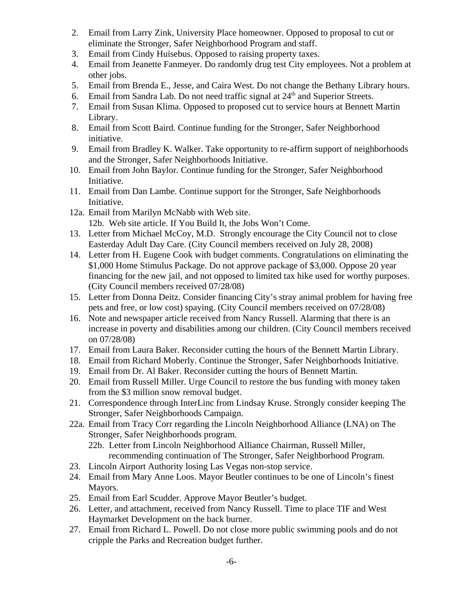- 2. Email from Larry Zink, University Place homeowner. Opposed to proposal to cut or eliminate the Stronger, Safer Neighborhood Program and staff.
- 3. Email from Cindy Huisebus. Opposed to raising property taxes.
- 4. Email from Jeanette Fanmeyer. Do randomly drug test City employees. Not a problem at other jobs.
- 5. Email from Brenda E., Jesse, and Caira West. Do not change the Bethany Library hours.
- 6. Email from Sandra Lab. Do not need traffic signal at  $24<sup>th</sup>$  and Superior Streets.
- 7. Email from Susan Klima. Opposed to proposed cut to service hours at Bennett Martin Library.
- 8. Email from Scott Baird. Continue funding for the Stronger, Safer Neighborhood initiative.
- 9. Email from Bradley K. Walker. Take opportunity to re-affirm support of neighborhoods and the Stronger, Safer Neighborhoods Initiative.
- 10. Email from John Baylor. Continue funding for the Stronger, Safer Neighborhood Initiative.
- 11. Email from Dan Lambe. Continue support for the Stronger, Safe Neighborhoods Initiative.
- 12a. Email from Marilyn McNabb with Web site. 12b. Web site article. If You Build It, the Jobs Won't Come.
- 13. Letter from Michael McCoy, M.D. Strongly encourage the City Council not to close Easterday Adult Day Care. (City Council members received on July 28, 2008)
- 14. Letter from H. Eugene Cook with budget comments. Congratulations on eliminating the \$1,000 Home Stimulus Package. Do not approve package of \$3,000. Oppose 20 year financing for the new jail, and not opposed to limited tax hike used for worthy purposes. (City Council members received 07/28/08)
- 15. Letter from Donna Deitz. Consider financing City's stray animal problem for having free pets and free, or low cost) spaying. (City Council members received on 07/28/08)
- 16. Note and newspaper article received from Nancy Russell. Alarming that there is an increase in poverty and disabilities among our children. (City Council members received on 07/28/08)
- 17. Email from Laura Baker. Reconsider cutting the hours of the Bennett Martin Library.
- 18. Email from Richard Moberly. Continue the Stronger, Safer Neighborhoods Initiative.
- 19. Email from Dr. Al Baker. Reconsider cutting the hours of Bennett Martin.
- 20. Email from Russell Miller. Urge Council to restore the bus funding with money taken from the \$3 million snow removal budget.
- 21. Correspondence through InterLinc from Lindsay Kruse. Strongly consider keeping The Stronger, Safer Neighborhoods Campaign.
- 22a. Email from Tracy Corr regarding the Lincoln Neighborhood Alliance (LNA) on The Stronger, Safer Neighborhoods program. 22b. Letter from Lincoln Neighborhood Alliance Chairman, Russell Miller,
	- recommending continuation of The Stronger, Safer Neighborhood Program.
- 23. Lincoln Airport Authority losing Las Vegas non-stop service.
- 24. Email from Mary Anne Loos. Mayor Beutler continues to be one of Lincoln's finest Mayors.
- 25. Email from Earl Scudder. Approve Mayor Beutler's budget.
- 26. Letter, and attachment, received from Nancy Russell. Time to place TIF and West Haymarket Development on the back burner.
- 27. Email from Richard L. Powell. Do not close more public swimming pools and do not cripple the Parks and Recreation budget further.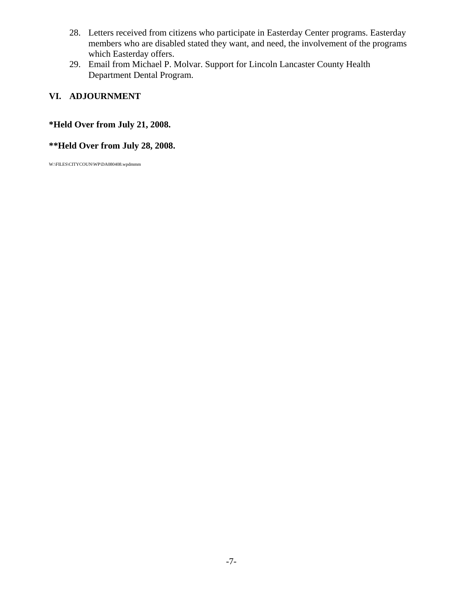- 28. Letters received from citizens who participate in Easterday Center programs. Easterday members who are disabled stated they want, and need, the involvement of the programs which Easterday offers.
- 29. Email from Michael P. Molvar. Support for Lincoln Lancaster County Health Department Dental Program.

# **VI. ADJOURNMENT**

## **\*Held Over from July 21, 2008.**

## **\*\*Held Over from July 28, 2008.**

W:\FILES\CITYCOUN\WP\DA080408.wpdmmm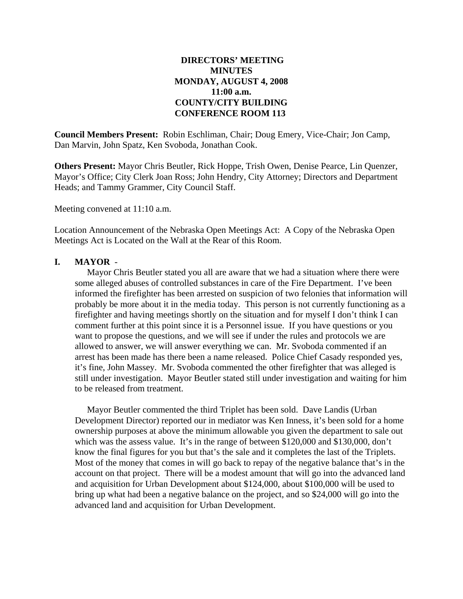### **DIRECTORS' MEETING MINUTES MONDAY, AUGUST 4, 2008 11:00 a.m. COUNTY/CITY BUILDING CONFERENCE ROOM 113**

**Council Members Present:** Robin Eschliman, Chair; Doug Emery, Vice-Chair; Jon Camp, Dan Marvin, John Spatz, Ken Svoboda, Jonathan Cook.

**Others Present:** Mayor Chris Beutler, Rick Hoppe, Trish Owen, Denise Pearce, Lin Quenzer, Mayor's Office; City Clerk Joan Ross; John Hendry, City Attorney; Directors and Department Heads; and Tammy Grammer, City Council Staff.

Meeting convened at 11:10 a.m.

Location Announcement of the Nebraska Open Meetings Act: A Copy of the Nebraska Open Meetings Act is Located on the Wall at the Rear of this Room.

### **I. MAYOR** -

Mayor Chris Beutler stated you all are aware that we had a situation where there were some alleged abuses of controlled substances in care of the Fire Department. I've been informed the firefighter has been arrested on suspicion of two felonies that information will probably be more about it in the media today. This person is not currently functioning as a firefighter and having meetings shortly on the situation and for myself I don't think I can comment further at this point since it is a Personnel issue. If you have questions or you want to propose the questions, and we will see if under the rules and protocols we are allowed to answer, we will answer everything we can. Mr. Svoboda commented if an arrest has been made has there been a name released. Police Chief Casady responded yes, it's fine, John Massey. Mr. Svoboda commented the other firefighter that was alleged is still under investigation. Mayor Beutler stated still under investigation and waiting for him to be released from treatment.

Mayor Beutler commented the third Triplet has been sold. Dave Landis (Urban Development Director) reported our in mediator was Ken Inness, it's been sold for a home ownership purposes at above the minimum allowable you given the department to sale out which was the assess value. It's in the range of between \$120,000 and \$130,000, don't know the final figures for you but that's the sale and it completes the last of the Triplets. Most of the money that comes in will go back to repay of the negative balance that's in the account on that project. There will be a modest amount that will go into the advanced land and acquisition for Urban Development about \$124,000, about \$100,000 will be used to bring up what had been a negative balance on the project, and so \$24,000 will go into the advanced land and acquisition for Urban Development.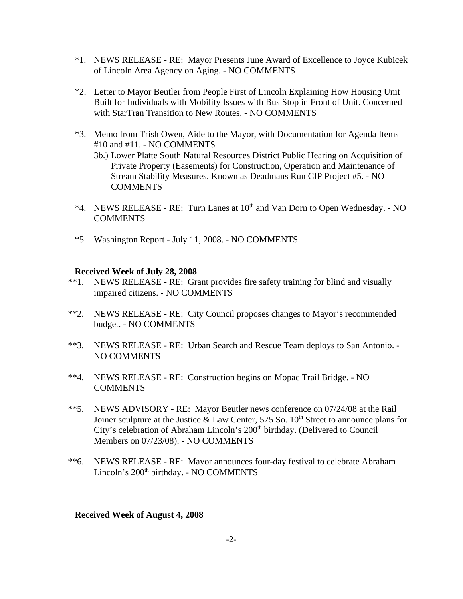- \*1. NEWS RELEASE RE: Mayor Presents June Award of Excellence to Joyce Kubicek of Lincoln Area Agency on Aging. - NO COMMENTS
- \*2. Letter to Mayor Beutler from People First of Lincoln Explaining How Housing Unit Built for Individuals with Mobility Issues with Bus Stop in Front of Unit. Concerned with StarTran Transition to New Routes. - NO COMMENTS
- \*3. Memo from Trish Owen, Aide to the Mayor, with Documentation for Agenda Items #10 and #11. - NO COMMENTS
	- 3b.) Lower Platte South Natural Resources District Public Hearing on Acquisition of Private Property (Easements) for Construction, Operation and Maintenance of Stream Stability Measures, Known as Deadmans Run CIP Project #5. - NO **COMMENTS**
- \*4. NEWS RELEASE RE: Turn Lanes at  $10^{th}$  and Van Dorn to Open Wednesday. NO COMMENTS
- \*5. Washington Report July 11, 2008. NO COMMENTS

#### **Received Week of July 28, 2008**

- \*\*1. NEWS RELEASE RE: Grant provides fire safety training for blind and visually impaired citizens. - NO COMMENTS
- \*\*2. NEWS RELEASE RE: City Council proposes changes to Mayor's recommended budget. - NO COMMENTS
- \*\*3. NEWS RELEASE RE: Urban Search and Rescue Team deploys to San Antonio. NO COMMENTS
- \*\*4. NEWS RELEASE RE: Construction begins on Mopac Trail Bridge. NO **COMMENTS**
- \*\*5. NEWS ADVISORY RE: Mayor Beutler news conference on 07/24/08 at the Rail Joiner sculpture at the Justice & Law Center, 575 So.  $10^{th}$  Street to announce plans for City's celebration of Abraham Lincoln's 200<sup>th</sup> birthday. (Delivered to Council Members on 07/23/08). - NO COMMENTS
- \*\*6. NEWS RELEASE RE: Mayor announces four-day festival to celebrate Abraham Lincoln's 200<sup>th</sup> birthday. - NO COMMENTS

#### **Received Week of August 4, 2008**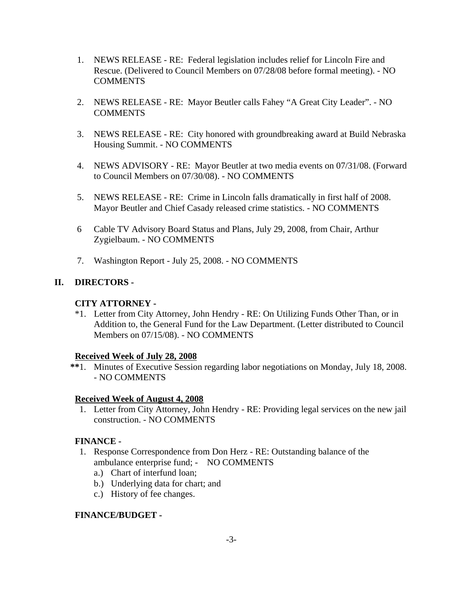- 1. NEWS RELEASE RE: Federal legislation includes relief for Lincoln Fire and Rescue. (Delivered to Council Members on 07/28/08 before formal meeting). - NO COMMENTS
- 2. NEWS RELEASE RE: Mayor Beutler calls Fahey "A Great City Leader". NO **COMMENTS**
- 3. NEWS RELEASE RE: City honored with groundbreaking award at Build Nebraska Housing Summit. - NO COMMENTS
- 4. NEWS ADVISORY RE: Mayor Beutler at two media events on 07/31/08. (Forward to Council Members on 07/30/08). - NO COMMENTS
- 5. NEWS RELEASE RE: Crime in Lincoln falls dramatically in first half of 2008. Mayor Beutler and Chief Casady released crime statistics. - NO COMMENTS
- 6 Cable TV Advisory Board Status and Plans, July 29, 2008, from Chair, Arthur Zygielbaum. - NO COMMENTS
- 7. Washington Report July 25, 2008. NO COMMENTS

## **II. DIRECTORS -**

### **CITY ATTORNEY -**

\*1. Letter from City Attorney, John Hendry - RE: On Utilizing Funds Other Than, or in Addition to, the General Fund for the Law Department. (Letter distributed to Council Members on 07/15/08). - NO COMMENTS

#### **Received Week of July 28, 2008**

 **\*\***1. Minutes of Executive Session regarding labor negotiations on Monday, July 18, 2008. - NO COMMENTS

### **Received Week of August 4, 2008**

 1. Letter from City Attorney, John Hendry - RE: Providing legal services on the new jail construction. - NO COMMENTS

### **FINANCE -**

- 1. Response Correspondence from Don Herz RE: Outstanding balance of the ambulance enterprise fund; - NO COMMENTS
	- a.) Chart of interfund loan;
	- b.) Underlying data for chart; and
	- c.) History of fee changes.

### **FINANCE/BUDGET -**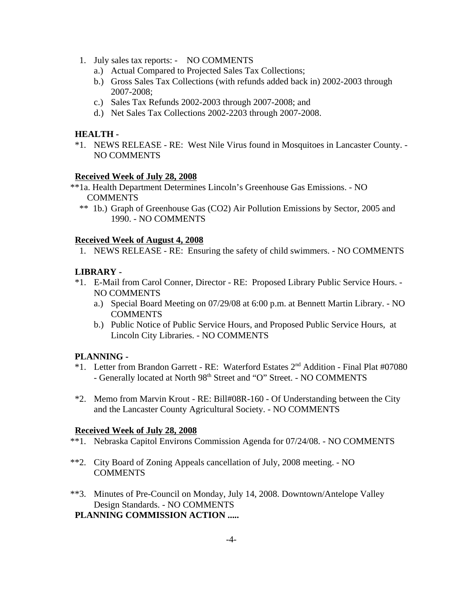- 1. July sales tax reports: NO COMMENTS
	- a.) Actual Compared to Projected Sales Tax Collections;
	- b.) Gross Sales Tax Collections (with refunds added back in) 2002-2003 through 2007-2008;
	- c.) Sales Tax Refunds 2002-2003 through 2007-2008; and
	- d.) Net Sales Tax Collections 2002-2203 through 2007-2008.

### **HEALTH -**

\*1. NEWS RELEASE - RE: West Nile Virus found in Mosquitoes in Lancaster County. - NO COMMENTS

#### **Received Week of July 28, 2008**

- \*\*1a. Health Department Determines Lincoln's Greenhouse Gas Emissions. NO COMMENTS
	- \*\* 1b.) Graph of Greenhouse Gas (CO2) Air Pollution Emissions by Sector, 2005 and 1990. - NO COMMENTS

#### **Received Week of August 4, 2008**

1. NEWS RELEASE - RE: Ensuring the safety of child swimmers. - NO COMMENTS

### **LIBRARY -**

- \*1. E-Mail from Carol Conner, Director RE: Proposed Library Public Service Hours. NO COMMENTS
	- a.) Special Board Meeting on 07/29/08 at 6:00 p.m. at Bennett Martin Library. NO COMMENTS
	- b.) Public Notice of Public Service Hours, and Proposed Public Service Hours, at Lincoln City Libraries. - NO COMMENTS

#### **PLANNING -**

- \*1. Letter from Brandon Garrett RE: Waterford Estates 2nd Addition Final Plat #07080 - Generally located at North 98<sup>th</sup> Street and "O" Street. - NO COMMENTS
- \*2. Memo from Marvin Krout RE: Bill#08R-160 Of Understanding between the City and the Lancaster County Agricultural Society. - NO COMMENTS

### **Received Week of July 28, 2008**

- \*\*1. Nebraska Capitol Environs Commission Agenda for 07/24/08. NO COMMENTS
- \*\*2. City Board of Zoning Appeals cancellation of July, 2008 meeting. NO COMMENTS
- \*\*3. Minutes of Pre-Council on Monday, July 14, 2008. Downtown/Antelope Valley Design Standards. - NO COMMENTS

# **PLANNING COMMISSION ACTION .....**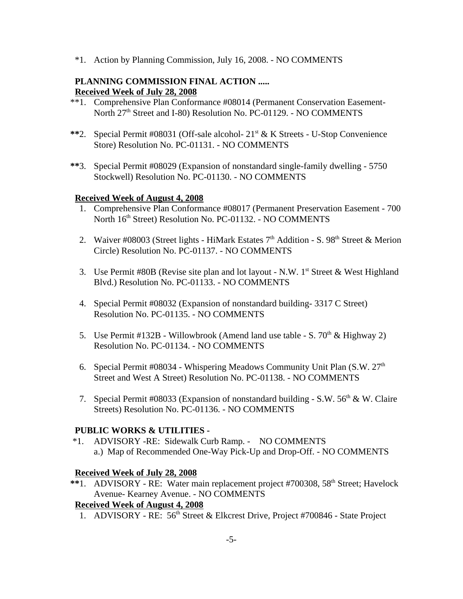\*1. Action by Planning Commission, July 16, 2008. - NO COMMENTS

### **PLANNING COMMISSION FINAL ACTION ..... Received Week of July 28, 2008**

- \*\*1. Comprehensive Plan Conformance #08014 (Permanent Conservation Easement-North 27<sup>th</sup> Street and I-80) Resolution No. PC-01129. - NO COMMENTS
- \*\*2. Special Permit #08031 (Off-sale alcohol-  $21<sup>st</sup> \& K$  Streets U-Stop Convenience Store) Resolution No. PC-01131. - NO COMMENTS
- **\*\***3. Special Permit #08029 (Expansion of nonstandard single-family dwelling 5750 Stockwell) Resolution No. PC-01130. - NO COMMENTS

### **Received Week of August 4, 2008**

- 1. Comprehensive Plan Conformance #08017 (Permanent Preservation Easement 700 North 16th Street) Resolution No. PC-01132. - NO COMMENTS
- 2. Waiver #08003 (Street lights HiMark Estates  $7<sup>th</sup>$  Addition S. 98<sup>th</sup> Street & Merion Circle) Resolution No. PC-01137. - NO COMMENTS
- 3. Use Permit #80B (Revise site plan and lot layout N.W.  $1<sup>st</sup>$  Street & West Highland Blvd.) Resolution No. PC-01133. - NO COMMENTS
- 4. Special Permit #08032 (Expansion of nonstandard building- 3317 C Street) Resolution No. PC-01135. - NO COMMENTS
- 5. Use Permit #132B Willowbrook (Amend land use table S.  $70<sup>th</sup>$  & Highway 2) Resolution No. PC-01134. - NO COMMENTS
- 6. Special Permit #08034 Whispering Meadows Community Unit Plan  $(S.W. 27<sup>th</sup>)$ Street and West A Street) Resolution No. PC-01138. - NO COMMENTS
- 7. Special Permit #08033 (Expansion of nonstandard building S.W.  $56<sup>th</sup>$  & W. Claire Streets) Resolution No. PC-01136. - NO COMMENTS

## **PUBLIC WORKS & UTILITIES -**

 \*1. ADVISORY -RE: Sidewalk Curb Ramp. - NO COMMENTS a.) Map of Recommended One-Way Pick-Up and Drop-Off. - NO COMMENTS

### **Received Week of July 28, 2008**

\*\*1. ADVISORY - RE: Water main replacement project #700308, 58<sup>th</sup> Street; Havelock Avenue- Kearney Avenue. - NO COMMENTS

## **Received Week of August 4, 2008**

1. ADVISORY - RE: 56<sup>th</sup> Street & Elkcrest Drive, Project #700846 - State Project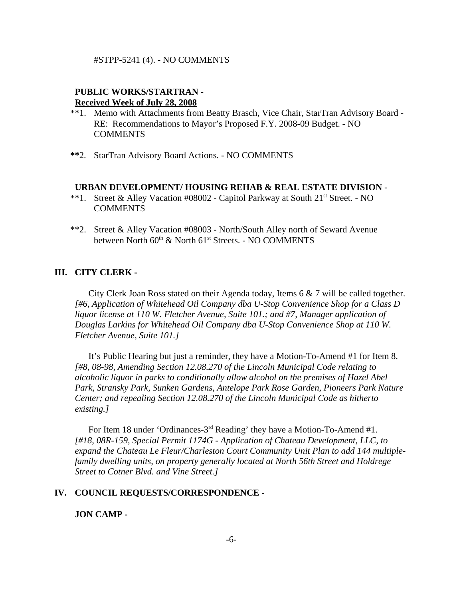#### #STPP-5241 (4). - NO COMMENTS

### **PUBLIC WORKS/STARTRAN** - **Received Week of July 28, 2008**

- \*\*1. Memo with Attachments from Beatty Brasch, Vice Chair, StarTran Advisory Board RE: Recommendations to Mayor's Proposed F.Y. 2008-09 Budget. - NO COMMENTS
- **\*\***2. StarTran Advisory Board Actions. NO COMMENTS

#### **URBAN DEVELOPMENT/ HOUSING REHAB & REAL ESTATE DIVISION** -

- \*\*1. Street & Alley Vacation #08002 Capitol Parkway at South 21<sup>st</sup> Street. NO COMMENTS
- \*\*2. Street & Alley Vacation #08003 North/South Alley north of Seward Avenue between North  $60^{th}$  & North  $61^{st}$  Streets. - NO COMMENTS

### **III. CITY CLERK -**

City Clerk Joan Ross stated on their Agenda today, Items 6 & 7 will be called together. *[#6, Application of Whitehead Oil Company dba U-Stop Convenience Shop for a Class D liquor license at 110 W. Fletcher Avenue, Suite 101.; and #7, Manager application of Douglas Larkins for Whitehead Oil Company dba U-Stop Convenience Shop at 110 W. Fletcher Avenue, Suite 101.]*

It's Public Hearing but just a reminder, they have a Motion-To-Amend #1 for Item 8. *[#8, 08-98, Amending Section 12.08.270 of the Lincoln Municipal Code relating to alcoholic liquor in parks to conditionally allow alcohol on the premises of Hazel Abel Park, Stransky Park, Sunken Gardens, Antelope Park Rose Garden, Pioneers Park Nature Center; and repealing Section 12.08.270 of the Lincoln Municipal Code as hitherto existing.]*

For Item 18 under 'Ordinances-3rd Reading' they have a Motion-To-Amend #1. *[#18, 08R-159, Special Permit 1174G - Application of Chateau Development, LLC, to expand the Chateau Le Fleur/Charleston Court Community Unit Plan to add 144 multiplefamily dwelling units, on property generally located at North 56th Street and Holdrege Street to Cotner Blvd. and Vine Street.]* 

#### **IV. COUNCIL REQUESTS/CORRESPONDENCE -**

**JON CAMP -**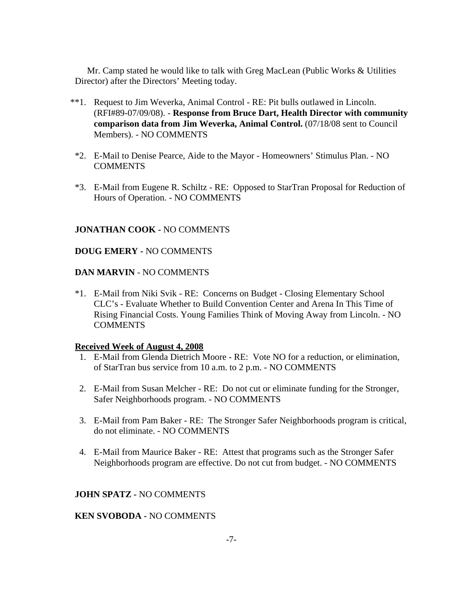Mr. Camp stated he would like to talk with Greg MacLean (Public Works & Utilities Director) after the Directors' Meeting today.

- \*\*1. Request to Jim Weverka, Animal Control RE: Pit bulls outlawed in Lincoln. (RFI#89-07/09/08). - **Response from Bruce Dart, Health Director with community comparison data from Jim Weverka, Animal Control.** (07/18/08 sent to Council Members). - NO COMMENTS
- \*2. E-Mail to Denise Pearce, Aide to the Mayor Homeowners' Stimulus Plan. NO **COMMENTS**
- \*3. E-Mail from Eugene R. Schiltz RE: Opposed to StarTran Proposal for Reduction of Hours of Operation. - NO COMMENTS

### **JONATHAN COOK -** NO COMMENTS

### **DOUG EMERY -** NO COMMENTS

#### **DAN MARVIN** - NO COMMENTS

\*1. E-Mail from Niki Svik - RE: Concerns on Budget - Closing Elementary School CLC's - Evaluate Whether to Build Convention Center and Arena In This Time of Rising Financial Costs. Young Families Think of Moving Away from Lincoln. - NO **COMMENTS** 

#### **Received Week of August 4, 2008**

- 1. E-Mail from Glenda Dietrich Moore RE: Vote NO for a reduction, or elimination, of StarTran bus service from 10 a.m. to 2 p.m. - NO COMMENTS
- 2. E-Mail from Susan Melcher RE: Do not cut or eliminate funding for the Stronger, Safer Neighborhoods program. - NO COMMENTS
- 3. E-Mail from Pam Baker RE: The Stronger Safer Neighborhoods program is critical, do not eliminate. - NO COMMENTS
- 4. E-Mail from Maurice Baker RE: Attest that programs such as the Stronger Safer Neighborhoods program are effective. Do not cut from budget. - NO COMMENTS

#### **JOHN SPATZ -** NO COMMENTS

### **KEN SVOBODA -** NO COMMENTS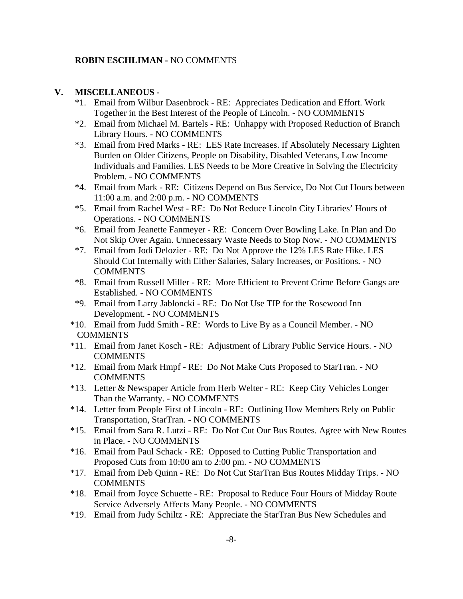#### **ROBIN ESCHLIMAN -** NO COMMENTS

### **V. MISCELLANEOUS -**

- \*1. Email from Wilbur Dasenbrock RE: Appreciates Dedication and Effort. Work Together in the Best Interest of the People of Lincoln. - NO COMMENTS
- \*2. Email from Michael M. Bartels RE: Unhappy with Proposed Reduction of Branch Library Hours. - NO COMMENTS
- \*3. Email from Fred Marks RE: LES Rate Increases. If Absolutely Necessary Lighten Burden on Older Citizens, People on Disability, Disabled Veterans, Low Income Individuals and Families. LES Needs to be More Creative in Solving the Electricity Problem. - NO COMMENTS
- \*4. Email from Mark RE: Citizens Depend on Bus Service, Do Not Cut Hours between 11:00 a.m. and 2:00 p.m. - NO COMMENTS
- \*5. Email from Rachel West RE: Do Not Reduce Lincoln City Libraries' Hours of Operations. - NO COMMENTS
- \*6. Email from Jeanette Fanmeyer RE: Concern Over Bowling Lake. In Plan and Do Not Skip Over Again. Unnecessary Waste Needs to Stop Now. - NO COMMENTS
- \*7. Email from Jodi Delozier RE: Do Not Approve the 12% LES Rate Hike. LES Should Cut Internally with Either Salaries, Salary Increases, or Positions. - NO COMMENTS
- \*8. Email from Russell Miller RE: More Efficient to Prevent Crime Before Gangs are Established. - NO COMMENTS
- \*9. Email from Larry Jabloncki RE: Do Not Use TIP for the Rosewood Inn Development. - NO COMMENTS
- \*10. Email from Judd Smith RE: Words to Live By as a Council Member. NO **COMMENTS**
- \*11. Email from Janet Kosch RE: Adjustment of Library Public Service Hours. NO **COMMENTS**
- \*12. Email from Mark Hmpf RE: Do Not Make Cuts Proposed to StarTran. NO COMMENTS
- \*13. Letter & Newspaper Article from Herb Welter RE: Keep City Vehicles Longer Than the Warranty. - NO COMMENTS
- \*14. Letter from People First of Lincoln RE: Outlining How Members Rely on Public Transportation, StarTran. - NO COMMENTS
- \*15. Email from Sara R. Lutzi RE: Do Not Cut Our Bus Routes. Agree with New Routes in Place. - NO COMMENTS
- \*16. Email from Paul Schack RE: Opposed to Cutting Public Transportation and Proposed Cuts from 10:00 am to 2:00 pm. - NO COMMENTS
- \*17. Email from Deb Quinn RE: Do Not Cut StarTran Bus Routes Midday Trips. NO **COMMENTS**
- \*18. Email from Joyce Schuette RE: Proposal to Reduce Four Hours of Midday Route Service Adversely Affects Many People. - NO COMMENTS
- \*19. Email from Judy Schiltz RE: Appreciate the StarTran Bus New Schedules and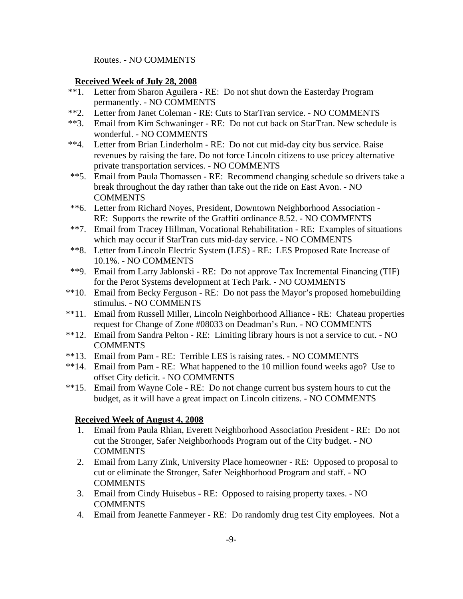Routes. - NO COMMENTS

### **Received Week of July 28, 2008**

- \*\*1. Letter from Sharon Aguilera RE: Do not shut down the Easterday Program permanently. - NO COMMENTS
- \*\*2. Letter from Janet Coleman RE: Cuts to StarTran service. NO COMMENTS
- \*\*3. Email from Kim Schwaninger RE: Do not cut back on StarTran. New schedule is wonderful. - NO COMMENTS
- \*\*4. Letter from Brian Linderholm RE: Do not cut mid-day city bus service. Raise revenues by raising the fare. Do not force Lincoln citizens to use pricey alternative private transportation services. - NO COMMENTS
- \*\*5. Email from Paula Thomassen RE: Recommend changing schedule so drivers take a break throughout the day rather than take out the ride on East Avon. - NO **COMMENTS**
- \*\*6. Letter from Richard Noyes, President, Downtown Neighborhood Association RE: Supports the rewrite of the Graffiti ordinance 8.52. - NO COMMENTS
- \*\*7. Email from Tracey Hillman, Vocational Rehabilitation RE: Examples of situations which may occur if StarTran cuts mid-day service. - NO COMMENTS
- \*\*8. Letter from Lincoln Electric System (LES) RE: LES Proposed Rate Increase of 10.1%. - NO COMMENTS
- \*\*9. Email from Larry Jablonski RE: Do not approve Tax Incremental Financing (TIF) for the Perot Systems development at Tech Park. - NO COMMENTS
- \*\*10. Email from Becky Ferguson RE: Do not pass the Mayor's proposed homebuilding stimulus. - NO COMMENTS
- \*\*11. Email from Russell Miller, Lincoln Neighborhood Alliance RE: Chateau properties request for Change of Zone #08033 on Deadman's Run. - NO COMMENTS
- \*\*12. Email from Sandra Pelton RE: Limiting library hours is not a service to cut. NO **COMMENTS**
- \*\*13. Email from Pam RE: Terrible LES is raising rates. NO COMMENTS
- \*\*14. Email from Pam RE: What happened to the 10 million found weeks ago? Use to offset City deficit. - NO COMMENTS
- \*\*15. Email from Wayne Cole RE: Do not change current bus system hours to cut the budget, as it will have a great impact on Lincoln citizens. - NO COMMENTS

### **Received Week of August 4, 2008**

- 1. Email from Paula Rhian, Everett Neighborhood Association President RE: Do not cut the Stronger, Safer Neighborhoods Program out of the City budget. - NO **COMMENTS**
- 2. Email from Larry Zink, University Place homeowner RE: Opposed to proposal to cut or eliminate the Stronger, Safer Neighborhood Program and staff. - NO **COMMENTS**
- 3. Email from Cindy Huisebus RE: Opposed to raising property taxes. NO **COMMENTS**
- 4. Email from Jeanette Fanmeyer RE: Do randomly drug test City employees. Not a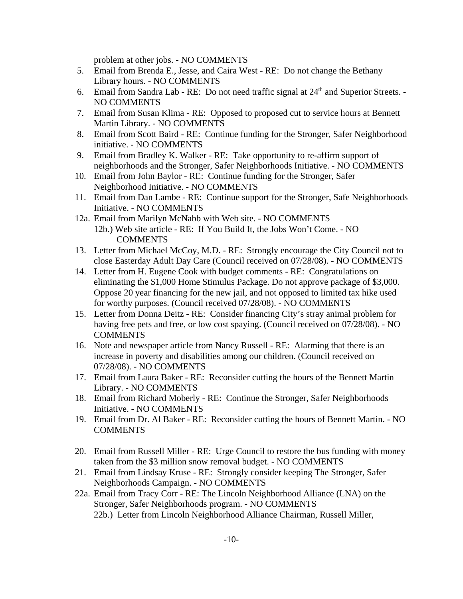problem at other jobs. - NO COMMENTS

- 5. Email from Brenda E., Jesse, and Caira West RE: Do not change the Bethany Library hours. - NO COMMENTS
- 6. Email from Sandra Lab RE: Do not need traffic signal at  $24<sup>th</sup>$  and Superior Streets. -NO COMMENTS
- 7. Email from Susan Klima RE: Opposed to proposed cut to service hours at Bennett Martin Library. - NO COMMENTS
- 8. Email from Scott Baird RE: Continue funding for the Stronger, Safer Neighborhood initiative. - NO COMMENTS
- 9. Email from Bradley K. Walker RE: Take opportunity to re-affirm support of neighborhoods and the Stronger, Safer Neighborhoods Initiative. - NO COMMENTS
- 10. Email from John Baylor RE: Continue funding for the Stronger, Safer Neighborhood Initiative. - NO COMMENTS
- 11. Email from Dan Lambe RE: Continue support for the Stronger, Safe Neighborhoods Initiative. - NO COMMENTS
- 12a. Email from Marilyn McNabb with Web site. NO COMMENTS 12b.) Web site article - RE: If You Build It, the Jobs Won't Come. - NO COMMENTS
- 13. Letter from Michael McCoy, M.D. RE: Strongly encourage the City Council not to close Easterday Adult Day Care (Council received on 07/28/08). - NO COMMENTS
- 14. Letter from H. Eugene Cook with budget comments RE: Congratulations on eliminating the \$1,000 Home Stimulus Package. Do not approve package of \$3,000. Oppose 20 year financing for the new jail, and not opposed to limited tax hike used for worthy purposes. (Council received 07/28/08). - NO COMMENTS
- 15. Letter from Donna Deitz RE: Consider financing City's stray animal problem for having free pets and free, or low cost spaying. (Council received on 07/28/08). - NO COMMENTS
- 16. Note and newspaper article from Nancy Russell RE: Alarming that there is an increase in poverty and disabilities among our children. (Council received on 07/28/08). - NO COMMENTS
- 17. Email from Laura Baker RE: Reconsider cutting the hours of the Bennett Martin Library. - NO COMMENTS
- 18. Email from Richard Moberly RE: Continue the Stronger, Safer Neighborhoods Initiative. - NO COMMENTS
- 19. Email from Dr. Al Baker RE: Reconsider cutting the hours of Bennett Martin. NO COMMENTS
- 20. Email from Russell Miller RE: Urge Council to restore the bus funding with money taken from the \$3 million snow removal budget. - NO COMMENTS
- 21. Email from Lindsay Kruse RE: Strongly consider keeping The Stronger, Safer Neighborhoods Campaign. - NO COMMENTS
- 22a. Email from Tracy Corr RE: The Lincoln Neighborhood Alliance (LNA) on the Stronger, Safer Neighborhoods program. - NO COMMENTS 22b.) Letter from Lincoln Neighborhood Alliance Chairman, Russell Miller,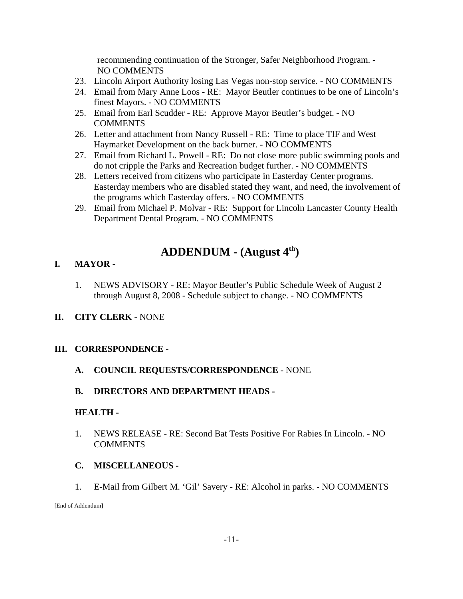recommending continuation of the Stronger, Safer Neighborhood Program. - NO COMMENTS

- 23. Lincoln Airport Authority losing Las Vegas non-stop service. NO COMMENTS
- 24. Email from Mary Anne Loos RE: Mayor Beutler continues to be one of Lincoln's finest Mayors. - NO COMMENTS
- 25. Email from Earl Scudder RE: Approve Mayor Beutler's budget. NO COMMENTS
- 26. Letter and attachment from Nancy Russell RE: Time to place TIF and West Haymarket Development on the back burner. - NO COMMENTS
- 27. Email from Richard L. Powell RE: Do not close more public swimming pools and do not cripple the Parks and Recreation budget further. - NO COMMENTS
- 28. Letters received from citizens who participate in Easterday Center programs. Easterday members who are disabled stated they want, and need, the involvement of the programs which Easterday offers. - NO COMMENTS
- 29. Email from Michael P. Molvar RE: Support for Lincoln Lancaster County Health Department Dental Program. - NO COMMENTS

# **ADDENDUM - (August 4th)**

## **I. MAYOR -**

1. NEWS ADVISORY - RE: Mayor Beutler's Public Schedule Week of August 2 through August 8, 2008 - Schedule subject to change. - NO COMMENTS

## **II. CITY CLERK -** NONE

## **III. CORRESPONDENCE -**

## **A. COUNCIL REQUESTS/CORRESPONDENCE** - NONE

## **B. DIRECTORS AND DEPARTMENT HEADS -**

### **HEALTH -**

1. NEWS RELEASE - RE: Second Bat Tests Positive For Rabies In Lincoln. - NO COMMENTS

## **C. MISCELLANEOUS -**

1. E-Mail from Gilbert M. 'Gil' Savery - RE: Alcohol in parks. - NO COMMENTS

[End of Addendum]